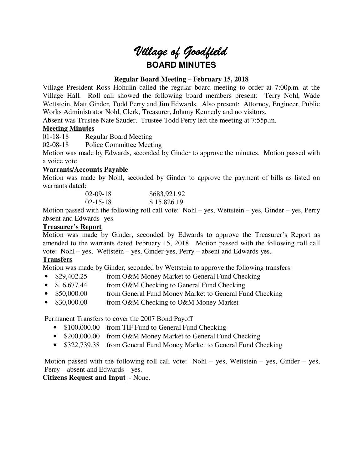# *Village of Goodfield* **BOARD MINUTES**

# **Regular Board Meeting – February 15, 2018**

Village President Ross Hohulin called the regular board meeting to order at 7:00p.m. at the Village Hall. Roll call showed the following board members present: Terry Nohl, Wade Wettstein, Matt Ginder, Todd Perry and Jim Edwards. Also present: Attorney, Engineer, Public Works Administrator Nohl, Clerk, Treasurer, Johnny Kennedy and no visitors.

Absent was Trustee Nate Sauder. Trustee Todd Perry left the meeting at 7:55p.m.

# **Meeting Minutes**

01-18-18 Regular Board Meeting

02-08-18 Police Committee Meeting

Motion was made by Edwards, seconded by Ginder to approve the minutes. Motion passed with a voice vote.

# **Warrants/Accounts Payable**

Motion was made by Nohl, seconded by Ginder to approve the payment of bills as listed on warrants dated:

| $02-09-18$     | \$683,921.92 |
|----------------|--------------|
| $02 - 15 - 18$ | \$15,826.19  |

Motion passed with the following roll call vote: Nohl – yes, Wettstein – yes, Ginder – yes, Perry absent and Edwards- yes.

# **Treasurer's Report**

Motion was made by Ginder, seconded by Edwards to approve the Treasurer's Report as amended to the warrants dated February 15, 2018. Motion passed with the following roll call vote: Nohl – yes, Wettstein – yes, Ginder-yes, Perry – absent and Edwards yes.

# **Transfers**

Motion was made by Ginder, seconded by Wettstein to approve the following transfers:

- \$29,402.25 from O&M Money Market to General Fund Checking
- \$ 6,677.44 from O&M Checking to General Fund Checking
- \$50,000.00 from General Fund Money Market to General Fund Checking
- \$30,000.00 from O&M Checking to O&M Money Market

Permanent Transfers to cover the 2007 Bond Payoff

- \$100,000.00 from TIF Fund to General Fund Checking
- \$200,000.00 from O&M Money Market to General Fund Checking
- \$322,739.38 from General Fund Money Market to General Fund Checking

Motion passed with the following roll call vote: Nohl – yes, Wettstein – yes, Ginder – yes, Perry – absent and Edwards – yes.

**Citizens Request and Input** - None.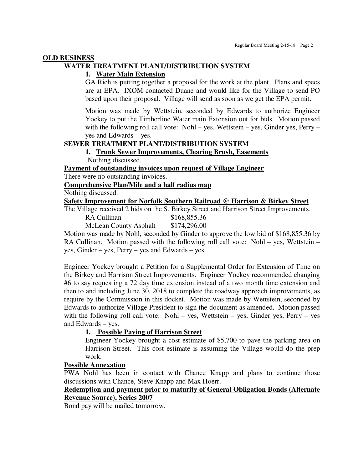#### **OLD BUSINESS**

## **WATER TREATMENT PLANT/DISTRIBUTION SYSTEM**

#### **1. Water Main Extension**

GA Rich is putting together a proposal for the work at the plant. Plans and specs are at EPA. IXOM contacted Duane and would like for the Village to send PO based upon their proposal. Village will send as soon as we get the EPA permit.

Motion was made by Wettstein, seconded by Edwards to authorize Engineer Yockey to put the Timberline Water main Extension out for bids. Motion passed with the following roll call vote: Nohl – yes, Wettstein – yes, Ginder yes, Perry – yes and Edwards – yes.

# **SEWER TREATMENT PLANT/DISTRIBUTION SYSTEM**

#### **1. Trunk Sewer Improvements, Clearing Brush, Easements**  Nothing discussed.

**Payment of outstanding invoices upon request of Village Engineer** 

There were no outstanding invoices.

**Comprehensive Plan/Mile and a half radius map** 

Nothing discussed.

**Safety Improvement for Norfolk Southern Railroad @ Harrison & Birkey Street** 

The Village received 2 bids on the S. Birkey Street and Harrison Street Improvements.

| RA Cullinan                  | \$168,855.36 |
|------------------------------|--------------|
| <b>McLean County Asphalt</b> | \$174,296.00 |

Motion was made by Nohl, seconded by Ginder to approve the low bid of \$168,855.36 by RA Cullinan. Motion passed with the following roll call vote: Nohl – yes, Wettstein – yes, Ginder – yes, Perry – yes and Edwards – yes.

Engineer Yockey brought a Petition for a Supplemental Order for Extension of Time on the Birkey and Harrison Street Improvements. Engineer Yockey recommended changing #6 to say requesting a 72 day time extension instead of a two month time extension and then to and including June 30, 2018 to complete the roadway approach improvements, as require by the Commission in this docket. Motion was made by Wettstein, seconded by Edwards to authorize Village President to sign the document as amended. Motion passed with the following roll call vote: Nohl – yes, Wettstein – yes, Ginder yes, Perry – yes and Edwards – yes.

#### **1. Possible Paving of Harrison Street**

Engineer Yockey brought a cost estimate of \$5,700 to pave the parking area on Harrison Street. This cost estimate is assuming the Village would do the prep work.

#### **Possible Annexation**

PWA Nohl has been in contact with Chance Knapp and plans to continue those discussions with Chance, Steve Knapp and Max Hoerr.

## **Redemption and payment prior to maturity of General Obligation Bonds (Alternate Revenue Source), Series 2007**

Bond pay will be mailed tomorrow.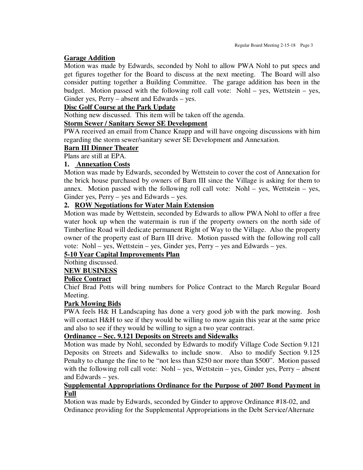## **Garage Addition**

Motion was made by Edwards, seconded by Nohl to allow PWA Nohl to put specs and get figures together for the Board to discuss at the next meeting. The Board will also consider putting together a Building Committee. The garage addition has been in the budget. Motion passed with the following roll call vote: Nohl – yes, Wettstein – yes, Ginder yes, Perry – absent and Edwards – yes.

## **Disc Golf Course at the Park Update**

Nothing new discussed. This item will be taken off the agenda.

# **Storm Sewer / Sanitary Sewer SE Development**

PWA received an email from Chance Knapp and will have ongoing discussions with him regarding the storm sewer/sanitary sewer SE Development and Annexation.

# **Barn III Dinner Theater**

Plans are still at EPA.

# **1. Annexation Costs**

Motion was made by Edwards, seconded by Wettstein to cover the cost of Annexation for the brick house purchased by owners of Barn III since the Village is asking for them to annex. Motion passed with the following roll call vote: Nohl – yes, Wettstein – yes, Ginder yes, Perry – yes and Edwards – yes.

# **2. ROW Negotiations for Water Main Extension**

Motion was made by Wettstein, seconded by Edwards to allow PWA Nohl to offer a free water hook up when the watermain is run if the property owners on the north side of Timberline Road will dedicate permanent Right of Way to the Village. Also the property owner of the property east of Barn III drive. Motion passed with the following roll call vote: Nohl – yes, Wettstein – yes, Ginder yes, Perry – yes and Edwards – yes.

# **5-10 Year Capital Improvements Plan**

# Nothing discussed.

**NEW BUSINESS** 

## **Police Contract**

Chief Brad Potts will bring numbers for Police Contract to the March Regular Board Meeting.

## **Park Mowing Bids**

PWA feels H& H Landscaping has done a very good job with the park mowing. Josh will contact H&H to see if they would be willing to mow again this year at the same price and also to see if they would be willing to sign a two year contract.

## **Ordinance – Sec. 9.121 Deposits on Streets and Sidewalks**

Motion was made by Nohl, seconded by Edwards to modify Village Code Section 9.121 Deposits on Streets and Sidewalks to include snow. Also to modify Section 9.125 Penalty to change the fine to be "not less than \$250 nor more than \$500". Motion passed with the following roll call vote: Nohl – yes, Wettstein – yes, Ginder yes, Perry – absent and Edwards – yes.

## **Supplemental Appropriations Ordinance for the Purpose of 2007 Bond Payment in Full**

Motion was made by Edwards, seconded by Ginder to approve Ordinance #18-02, and Ordinance providing for the Supplemental Appropriations in the Debt Service/Alternate